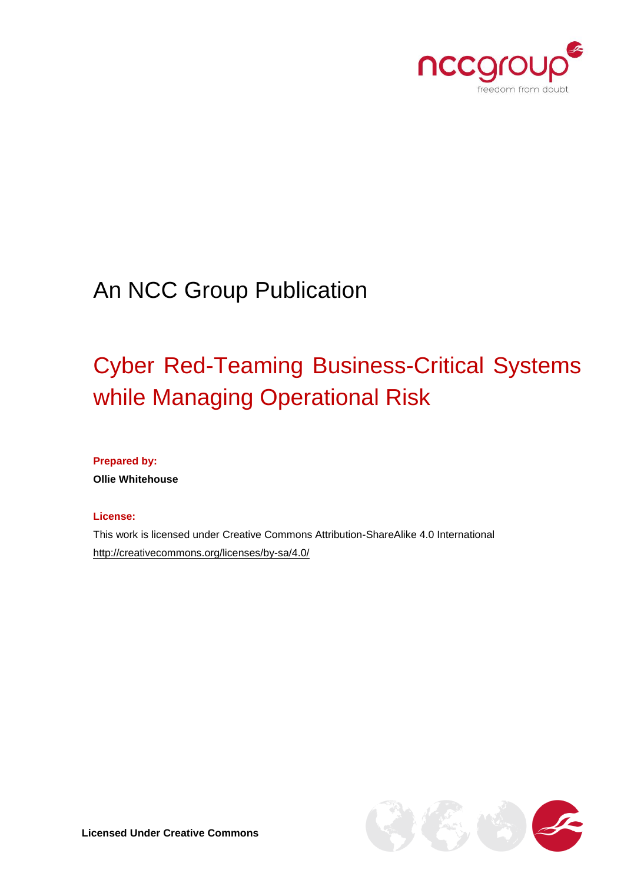

# An NCC Group Publication

# Cyber Red-Teaming Business-Critical Systems while Managing Operational Risk

**Prepared by:**

**Ollie Whitehouse**

#### **License:**

This work is licensed under Creative Commons Attribution-ShareAlike 4.0 International <http://creativecommons.org/licenses/by-sa/4.0/>

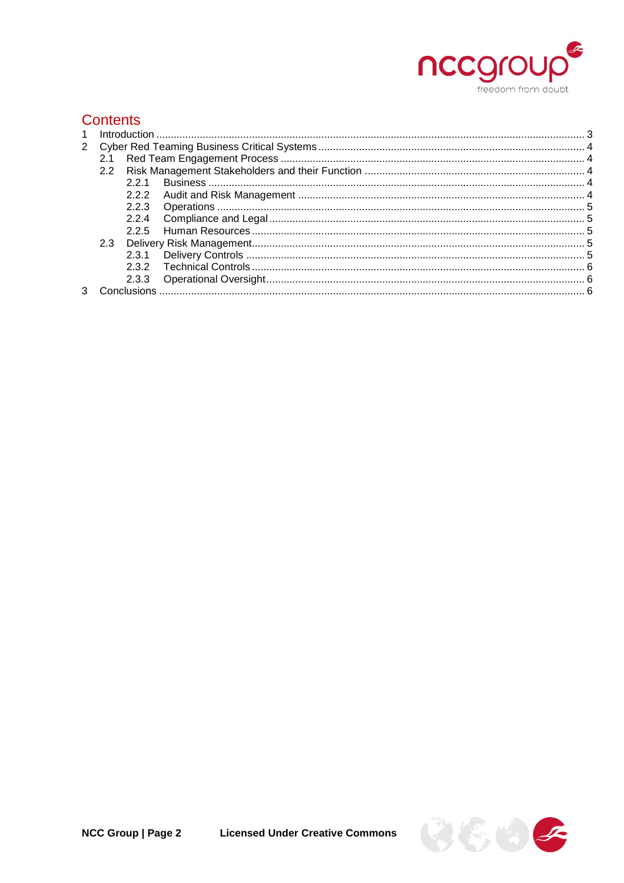

# **Contents**

|  | 2.1 |     |  |  |
|--|-----|-----|--|--|
|  | 2.2 |     |  |  |
|  |     | 221 |  |  |
|  |     |     |  |  |
|  |     |     |  |  |
|  |     |     |  |  |
|  |     |     |  |  |
|  |     |     |  |  |
|  |     |     |  |  |
|  |     |     |  |  |
|  |     |     |  |  |
|  |     |     |  |  |

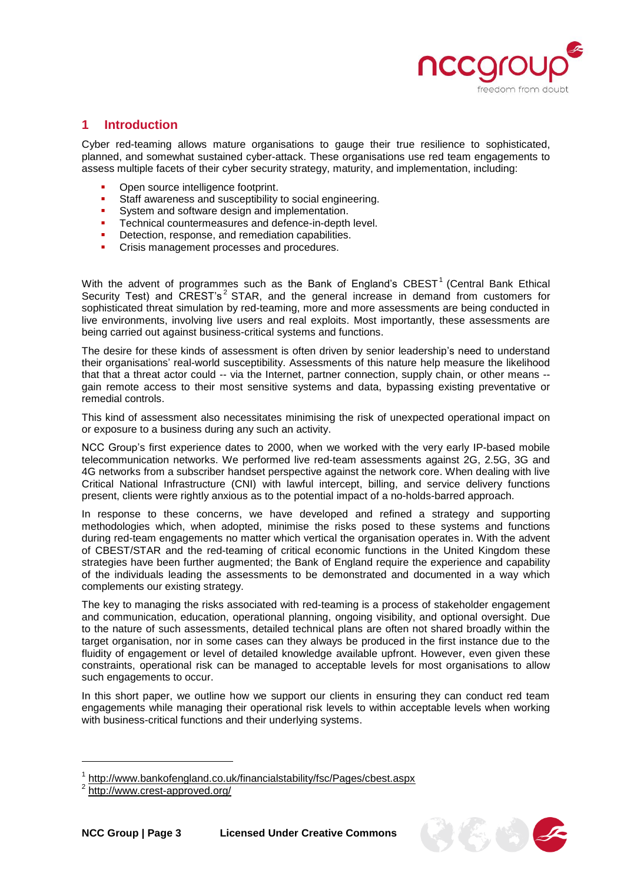

# <span id="page-2-0"></span>**1 Introduction**

Cyber red-teaming allows mature organisations to gauge their true resilience to sophisticated, planned, and somewhat sustained cyber-attack. These organisations use red team engagements to assess multiple facets of their cyber security strategy, maturity, and implementation, including:

- Open source intelligence footprint.
- **Staff awareness and susceptibility to social engineering.**
- **System and software design and implementation.**
- Technical countermeasures and defence-in-depth level.
- Detection, response, and remediation capabilities.
- Crisis management processes and procedures.

With the advent of programmes such as the Bank of England's  $CBEST<sup>1</sup>$  (Central Bank Ethical Security Test) and CREST's<sup>2</sup> STAR, and the general increase in demand from customers for sophisticated threat simulation by red-teaming, more and more assessments are being conducted in live environments, involving live users and real exploits. Most importantly, these assessments are being carried out against business-critical systems and functions.

The desire for these kinds of assessment is often driven by senior leadership's need to understand their organisations' real-world susceptibility. Assessments of this nature help measure the likelihood that that a threat actor could -- via the Internet, partner connection, supply chain, or other means -gain remote access to their most sensitive systems and data, bypassing existing preventative or remedial controls.

This kind of assessment also necessitates minimising the risk of unexpected operational impact on or exposure to a business during any such an activity.

NCC Group's first experience dates to 2000, when we worked with the very early IP-based mobile telecommunication networks. We performed live red-team assessments against 2G, 2.5G, 3G and 4G networks from a subscriber handset perspective against the network core. When dealing with live Critical National Infrastructure (CNI) with lawful intercept, billing, and service delivery functions present, clients were rightly anxious as to the potential impact of a no-holds-barred approach.

In response to these concerns, we have developed and refined a strategy and supporting methodologies which, when adopted, minimise the risks posed to these systems and functions during red-team engagements no matter which vertical the organisation operates in. With the advent of CBEST/STAR and the red-teaming of critical economic functions in the United Kingdom these strategies have been further augmented; the Bank of England require the experience and capability of the individuals leading the assessments to be demonstrated and documented in a way which complements our existing strategy.

The key to managing the risks associated with red-teaming is a process of stakeholder engagement and communication, education, operational planning, ongoing visibility, and optional oversight. Due to the nature of such assessments, detailed technical plans are often not shared broadly within the target organisation, nor in some cases can they always be produced in the first instance due to the fluidity of engagement or level of detailed knowledge available upfront. However, even given these constraints, operational risk can be managed to acceptable levels for most organisations to allow such engagements to occur.

In this short paper, we outline how we support our clients in ensuring they can conduct red team engagements while managing their operational risk levels to within acceptable levels when working with business-critical functions and their underlying systems.

l



<sup>1</sup> <http://www.bankofengland.co.uk/financialstability/fsc/Pages/cbest.aspx>

<sup>2</sup> <http://www.crest-approved.org/>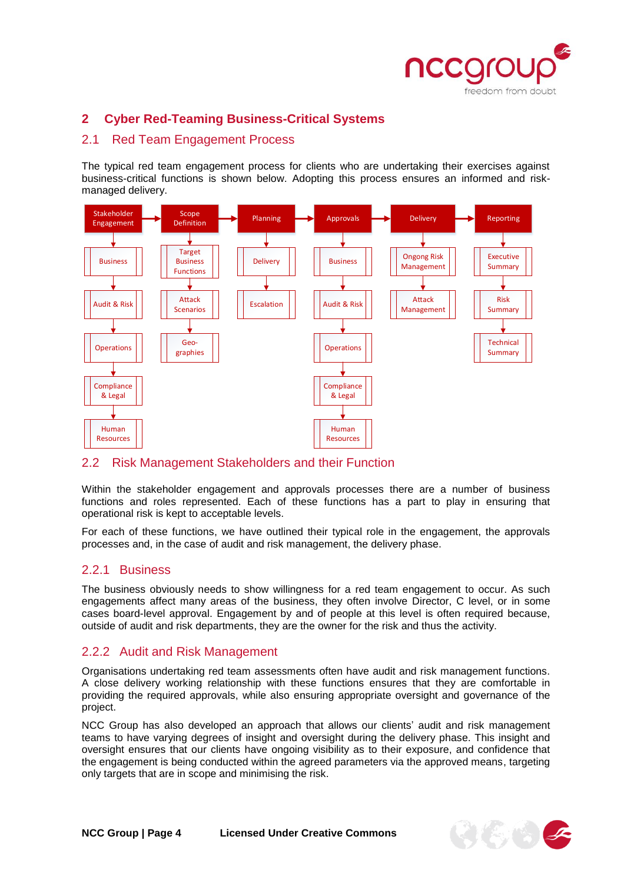

# <span id="page-3-0"></span>**2 Cyber Red-Teaming Business-Critical Systems**

# <span id="page-3-1"></span>2.1 Red Team Engagement Process

The typical red team engagement process for clients who are undertaking their exercises against business-critical functions is shown below. Adopting this process ensures an informed and riskmanaged delivery.



## <span id="page-3-2"></span>2.2 Risk Management Stakeholders and their Function

Within the stakeholder engagement and approvals processes there are a number of business functions and roles represented. Each of these functions has a part to play in ensuring that operational risk is kept to acceptable levels.

For each of these functions, we have outlined their typical role in the engagement, the approvals processes and, in the case of audit and risk management, the delivery phase.

## <span id="page-3-3"></span>2.2.1 Business

The business obviously needs to show willingness for a red team engagement to occur. As such engagements affect many areas of the business, they often involve Director, C level, or in some cases board-level approval. Engagement by and of people at this level is often required because, outside of audit and risk departments, they are the owner for the risk and thus the activity.

# <span id="page-3-4"></span>2.2.2 Audit and Risk Management

Organisations undertaking red team assessments often have audit and risk management functions. A close delivery working relationship with these functions ensures that they are comfortable in providing the required approvals, while also ensuring appropriate oversight and governance of the project.

NCC Group has also developed an approach that allows our clients' audit and risk management teams to have varying degrees of insight and oversight during the delivery phase. This insight and oversight ensures that our clients have ongoing visibility as to their exposure, and confidence that the engagement is being conducted within the agreed parameters via the approved means, targeting only targets that are in scope and minimising the risk.

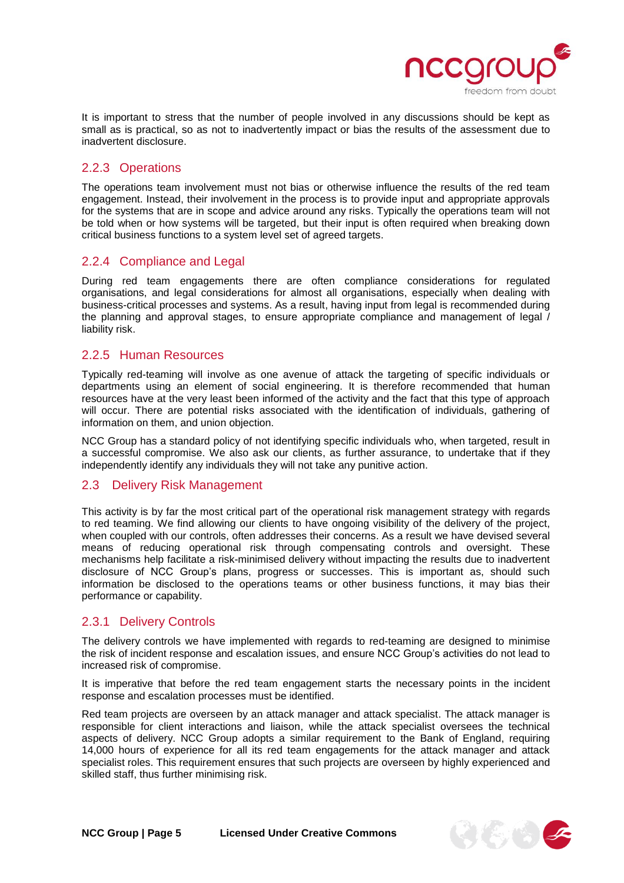

It is important to stress that the number of people involved in any discussions should be kept as small as is practical, so as not to inadvertently impact or bias the results of the assessment due to inadvertent disclosure.

# <span id="page-4-0"></span>2.2.3 Operations

The operations team involvement must not bias or otherwise influence the results of the red team engagement. Instead, their involvement in the process is to provide input and appropriate approvals for the systems that are in scope and advice around any risks. Typically the operations team will not be told when or how systems will be targeted, but their input is often required when breaking down critical business functions to a system level set of agreed targets.

# <span id="page-4-1"></span>2.2.4 Compliance and Legal

During red team engagements there are often compliance considerations for regulated organisations, and legal considerations for almost all organisations, especially when dealing with business-critical processes and systems. As a result, having input from legal is recommended during the planning and approval stages, to ensure appropriate compliance and management of legal / liability risk.

## <span id="page-4-2"></span>2.2.5 Human Resources

Typically red-teaming will involve as one avenue of attack the targeting of specific individuals or departments using an element of social engineering. It is therefore recommended that human resources have at the very least been informed of the activity and the fact that this type of approach will occur. There are potential risks associated with the identification of individuals, gathering of information on them, and union objection.

NCC Group has a standard policy of not identifying specific individuals who, when targeted, result in a successful compromise. We also ask our clients, as further assurance, to undertake that if they independently identify any individuals they will not take any punitive action.

## <span id="page-4-3"></span>2.3 Delivery Risk Management

This activity is by far the most critical part of the operational risk management strategy with regards to red teaming. We find allowing our clients to have ongoing visibility of the delivery of the project, when coupled with our controls, often addresses their concerns. As a result we have devised several means of reducing operational risk through compensating controls and oversight. These mechanisms help facilitate a risk-minimised delivery without impacting the results due to inadvertent disclosure of NCC Group's plans, progress or successes. This is important as, should such information be disclosed to the operations teams or other business functions, it may bias their performance or capability.

## <span id="page-4-4"></span>2.3.1 Delivery Controls

The delivery controls we have implemented with regards to red-teaming are designed to minimise the risk of incident response and escalation issues, and ensure NCC Group's activities do not lead to increased risk of compromise.

It is imperative that before the red team engagement starts the necessary points in the incident response and escalation processes must be identified.

Red team projects are overseen by an attack manager and attack specialist. The attack manager is responsible for client interactions and liaison, while the attack specialist oversees the technical aspects of delivery. NCC Group adopts a similar requirement to the Bank of England, requiring 14,000 hours of experience for all its red team engagements for the attack manager and attack specialist roles. This requirement ensures that such projects are overseen by highly experienced and skilled staff, thus further minimising risk.